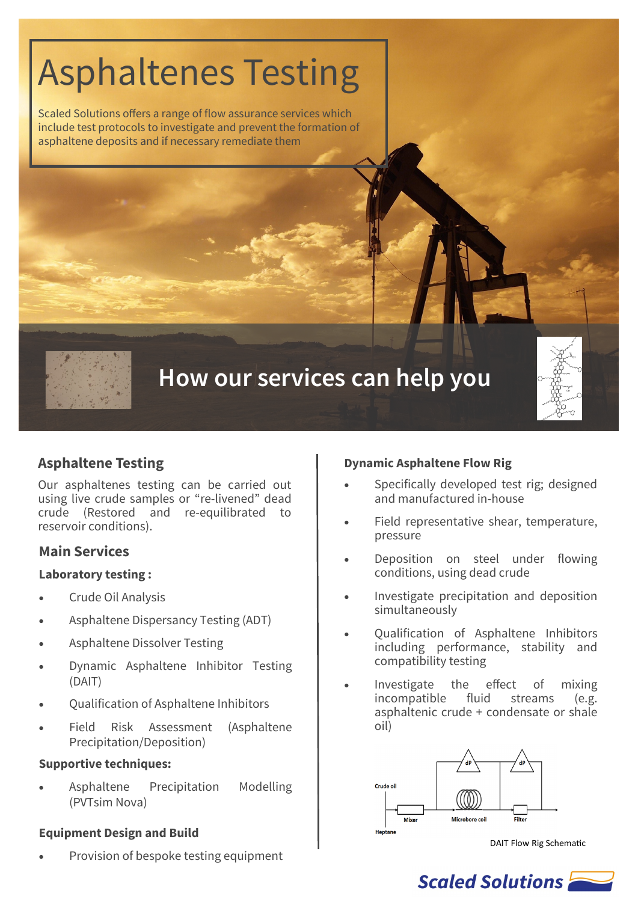# Asphaltenes Testing

Scaled Solutions offers a range of flow assurance services which include test protocols to investigate and prevent the formation of asphaltene deposits and if necessary remediate them

# **How our services can help you**

# **Asphaltene Testing**

Our asphaltenes testing can be carried out using live crude samples or "re-livened" dead crude (Restored and re-equilibrated to reservoir conditions).

# **Main Services**

#### **Laboratory testing :**

- Crude Oil Analysis
- Asphaltene Dispersancy Testing (ADT)
- Asphaltene Dissolver Testing
- Dynamic Asphaltene Inhibitor Testing (DAIT)
- Qualification of Asphaltene Inhibitors
- Field Risk Assessment (Asphaltene Precipitation/Deposition)

#### **Supportive techniques:**

• Asphaltene Precipitation Modelling (PVTsim Nova)

#### **Equipment Design and Build**

• Provision of bespoke testing equipment

#### **Dynamic Asphaltene Flow Rig**

- Specifically developed test rig; designed and manufactured in-house
- Field representative shear, temperature, pressure
- Deposition on steel under flowing conditions, using dead crude
- Investigate precipitation and deposition simultaneously
- Qualification of Asphaltene Inhibitors including performance, stability and compatibility testing
- Investigate the effect of mixing incompatible fluid streams (e.g. asphaltenic crude + condensate or shale oil)



DAIT Flow Rig Schematic

# Scaled Solutions